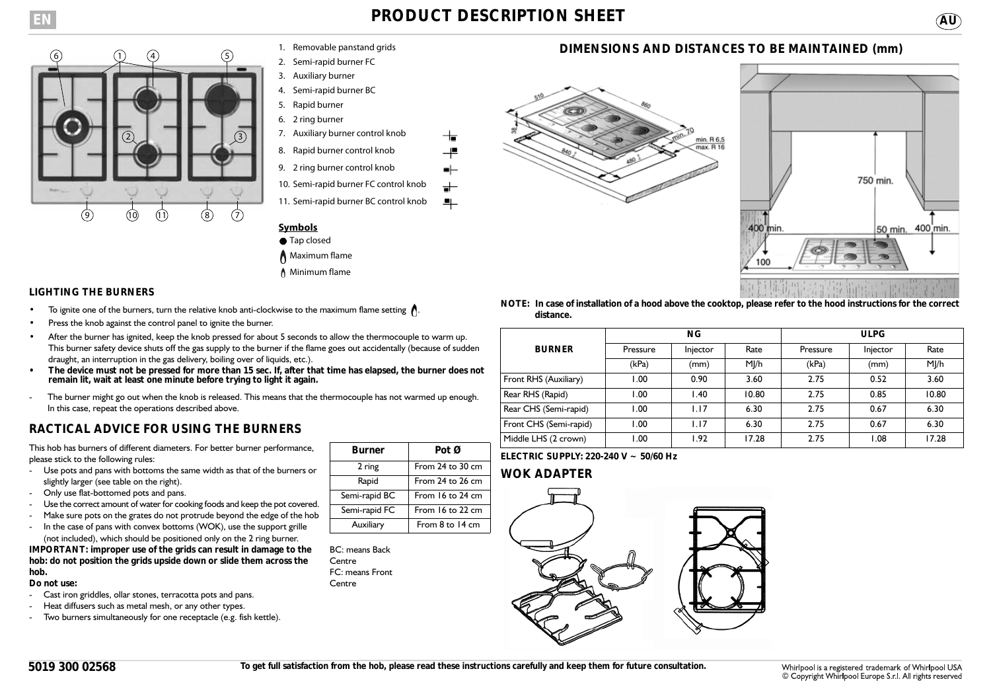



- 1. Removable panstand grids
- 2. Semi-rapid burner FC
- 3. Auxiliary burner 4. Semi-rapid burner BC
- 5. Rapid burner
- 6. 2 ring burner
- 7. Auxiliary burner control knob
- 8. Rapid burner control knob
- 9. 2 ring burner control knob
- 10. Semi-rapid burner FC control knob
- 11. Semi-rapid burner BC control knob 부

- Tap closed
- **Maximum flame**
- ↑ Minimum flame

### **LIGHTING THE BURNERS**

- To ignite one of the burners, turn the relative knob anti-clockwise to the maximum flame setting  $\bigwedge$ .
- Press the knob against the control panel to ignite the burner.
- After the burner has ignited, keep the knob pressed for about 5 seconds to allow the thermocouple to warm up. This burner safety device shuts off the gas supply to the burner if the flame goes out accidentally (because of sudden draught, an interruption in the gas delivery, boiling over of liquids, etc.).
- **The device must not be pressed for more than 15 sec. If, after that time has elapsed, the burner does not remain lit, wait at least one minute before trying to light it again.**
- The burner might go out when the knob is released. This means that the thermocouple has not warmed up enough. In this case, repeat the operations described above.

# **RACTICAL ADVICE FOR USING THE BURNERS**

This hob has burners of different diameters. For better burner performance, please stick to the following rules:

- Use pots and pans with bottoms the same width as that of the burners or slightly larger (see table on the right).
- Only use flat-bottomed pots and pans.
- Use the correct amount of water for cooking foods and keep the pot covered.
- Make sure pots on the grates do not protrude beyond the edge of the hob
- In the case of pans with convex bottoms (WOK), use the support grille (not included), which should be positioned only on the 2 ring burner.

#### **IMPORTANT: improper use of the grids can result in damage to the hob: do not position the grids upside down or slide them across the hob.**

#### **Do not use:**

- Cast iron griddles, ollar stones, terracotta pots and pans.
- Heat diffusers such as metal mesh, or any other types.
- Two burners simultaneously for one receptacle (e.g. fish kettle).

| <b>Burner</b> | Pot Ø              |  |  |
|---------------|--------------------|--|--|
| 2 ring        | From 24 to 30 cm   |  |  |
| Rapid         | From 24 to 26 cm   |  |  |
| Semi-rapid BC | From 16 to 24 cm   |  |  |
| Semi-rapid FC | From $16$ to 22 cm |  |  |
| Auxiliary     | From $8$ to 14 cm  |  |  |

BC: means Back **Centre** FC: means Front **Centre** 

## **DIMENSIONS AND DISTANCES TO BE MAINTAINED (mm)**





**NOTE: In case of installation of a hood above the cooktop, please refer to the hood instructions for the correct distance.**

|                        | <b>NG</b> |          |       | <b>ULPG</b> |          |       |
|------------------------|-----------|----------|-------|-------------|----------|-------|
| <b>BURNER</b>          | Pressure  | Injector | Rate  | Pressure    | Injector | Rate  |
|                        | (kPa)     | (mm)     | MJ/h  | (kPa)       | (mm)     | MJ/h  |
| Front RHS (Auxiliary)  | .00       | 0.90     | 3.60  | 2.75        | 0.52     | 3.60  |
| Rear RHS (Rapid)       | 1.00      | 1.40     | 10.80 | 2.75        | 0.85     | 10.80 |
| Rear CHS (Semi-rapid)  | 1.00      | 1.17     | 6.30  | 2.75        | 0.67     | 6.30  |
| Front CHS (Semi-rapid) | 00.1      | I.I7     | 6.30  | 2.75        | 0.67     | 6.30  |
| Middle LHS (2 crown)   | .00       | 1.92     | 17.28 | 2.75        | 1.08     | 17.28 |

**ELECTRIC SUPPLY: 220-240 V ~ 50/60 Hz**

## **WOK ADAPTER**

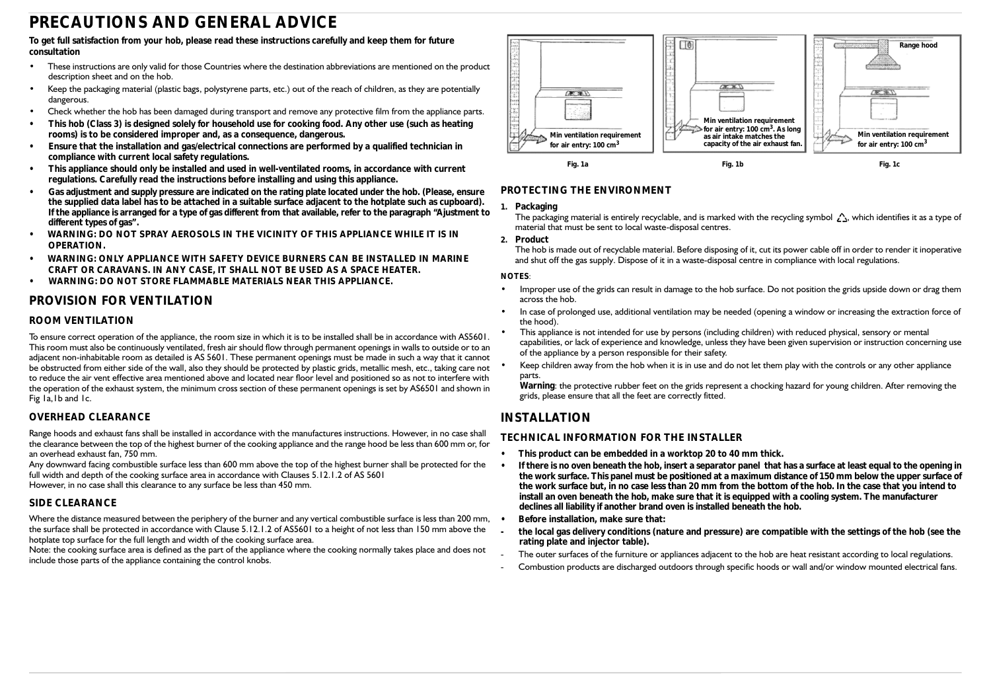# **PRECAUTIONS AND GENERAL ADVICE**

#### **To get full satisfaction from your hob, please read these instructions carefully and keep them for future consultation**

- These instructions are only valid for those Countries where the destination abbreviations are mentioned on the product description sheet and on the hob.
- Keep the packaging material (plastic bags, polystyrene parts, etc.) out of the reach of children, as they are potentially dangerous.
- Check whether the hob has been damaged during transport and remove any protective film from the appliance parts.
- **This hob (Class 3) is designed solely for household use for cooking food. Any other use (such as heating rooms) is to be considered improper and, as a consequence, dangerous.**
- **Ensure that the installation and gas/electrical connections are performed by a qualified technician in compliance with current local safety regulations.**
- **This appliance should only be installed and used in well-ventilated rooms, in accordance with current regulations. Carefully read the instructions before installing and using this appliance.**
- **Gas adjustment and supply pressure are indicated on the rating plate located under the hob. (Please, ensure the supplied data label has to be attached in a suitable surface adjacent to the hotplate such as cupboard). If the appliance is arranged for a type of gas different from that available, refer to the paragraph "Ajustment to different types of gas".**
- **WARNING: DO NOT SPRAY AEROSOLS IN THE VICINITY OF THIS APPLIANCE WHILE IT IS IN OPERATION.**
- **WARNING: ONLY APPLIANCE WITH SAFETY DEVICE BURNERS CAN BE INSTALLED IN MARINE CRAFT OR CARAVANS. IN ANY CASE, IT SHALL NOT BE USED AS A SPACE HEATER.**
- **WARNING: DO NOT STORE FLAMMABLE MATERIALS NEAR THIS APPLIANCE.**

## **PROVISION FOR VENTILATION**

#### **ROOM VENTILATION**

To ensure correct operation of the appliance, the room size in which it is to be installed shall be in accordance with AS5601. This room must also be continuously ventilated, fresh air should flow through permanent openings in walls to outside or to an adjacent non-inhabitable room as detailed is AS 5601. These permanent openings must be made in such a way that it cannot be obstructed from either side of the wall, also they should be protected by plastic grids, metallic mesh, etc., taking care not to reduce the air vent effective area mentioned above and located near floor level and positioned so as not to interfere with the operation of the exhaust system, the minimum cross section of these permanent openings is set by AS6501 and shown in Fig 1a,1b and 1c.

#### **OVERHEAD CLEARANCE**

Range hoods and exhaust fans shall be installed in accordance with the manufactures instructions. However, in no case shall the clearance between the top of the highest burner of the cooking appliance and the range hood be less than 600 mm or, for an overhead exhaust fan, 750 mm.

Any downward facing combustible surface less than 600 mm above the top of the highest burner shall be protected for the full width and depth of the cooking surface area in accordance with Clauses 5.12.1.2 of AS 5601 However, in no case shall this clearance to any surface be less than 450 mm.

#### **SIDE CLEARANCE**

Where the distance measured between the periphery of the burner and any vertical combustible surface is less than 200 mm,  $\cdot$ the surface shall be protected in accordance with Clause 5.12.1.2 of AS5601 to a height of not less than 150 mm above the hotplate top surface for the full length and width of the cooking surface area.

Note: the cooking surface area is defined as the part of the appliance where the cooking normally takes place and does not include those parts of the appliance containing the control knobs.



### **PROTECTING THE ENVIRONMENT**

#### **1. Packaging**

The packaging material is entirely recyclable, and is marked with the recycling symbol  $\bigwedge$ , which identifies it as a type of material that must be sent to local waste-disposal centres.

#### **2. Product**

The hob is made out of recyclable material. Before disposing of it, cut its power cable off in order to render it inoperative and shut off the gas supply. Dispose of it in a waste-disposal centre in compliance with local regulations.

#### **NOTES**:

- Improper use of the grids can result in damage to the hob surface. Do not position the grids upside down or drag them across the hob.
- In case of prolonged use, additional ventilation may be needed (opening a window or increasing the extraction force of the hood).
- This appliance is not intended for use by persons (including children) with reduced physical, sensory or mental capabilities, or lack of experience and knowledge, unless they have been given supervision or instruction concerning use of the appliance by a person responsible for their safety.
- Keep children away from the hob when it is in use and do not let them play with the controls or any other appliance parts.

**Warning**: the protective rubber feet on the grids represent a chocking hazard for young children. After removing the grids, please ensure that all the feet are correctly fitted.

## **INSTALLATION**

#### **TECHNICAL INFORMATION FOR THE INSTALLER**

- **This product can be embedded in a worktop 20 to 40 mm thick.**
- **If there is no oven beneath the hob, insert a separator panel that has a surface at least equal to the opening in the work surface. This panel must be positioned at a maximum distance of 150 mm below the upper surface of the work surface but, in no case less than 20 mm from the bottom of the hob. In the case that you intend to install an oven beneath the hob, make sure that it is equipped with a cooling system. The manufacturer declines all liability if another brand oven is installed beneath the hob.**
- **Before installation, make sure that:**
- **the local gas delivery conditions (nature and pressure) are compatible with the settings of the hob (see the rating plate and injector table).**
- The outer surfaces of the furniture or appliances adjacent to the hob are heat resistant according to local regulations.
- Combustion products are discharged outdoors through specific hoods or wall and/or window mounted electrical fans.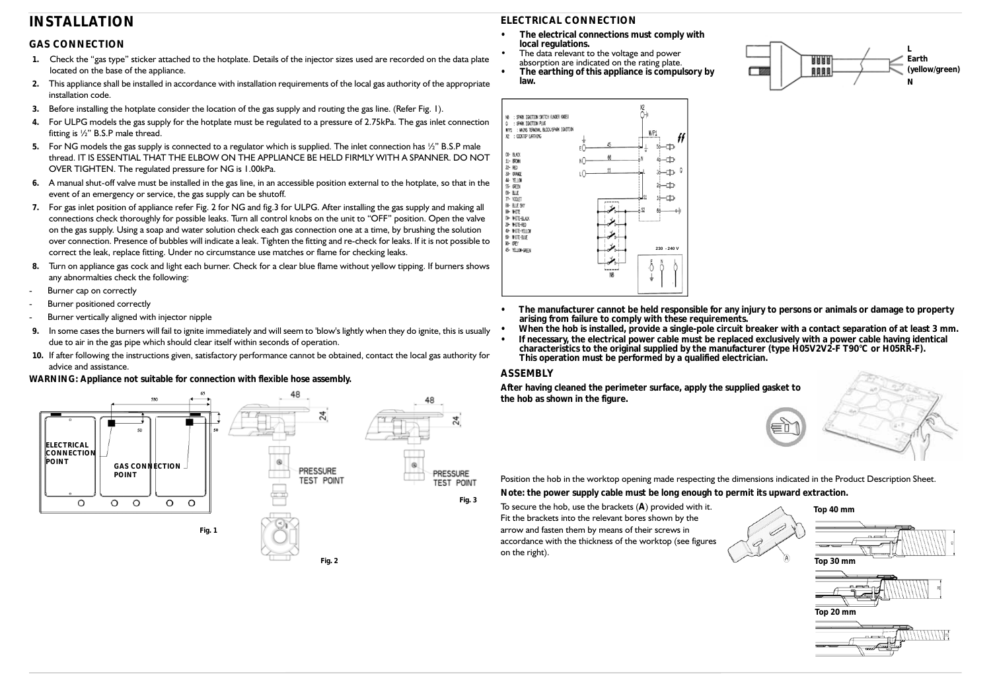# **INSTALLATION**

## **GAS CONNECTION**

- **1.** Check the "gas type" sticker attached to the hotplate. Details of the injector sizes used are recorded on the data plate located on the base of the appliance.
- **2.** This appliance shall be installed in accordance with installation requirements of the local gas authority of the appropriate installation code.
- **3.** Before installing the hotplate consider the location of the gas supply and routing the gas line. (Refer Fig. 1).
- **4.** For ULPG models the gas supply for the hotplate must be regulated to a pressure of 2.75kPa. The gas inlet connection fitting is ½" B.S.P male thread.
- **5.** For NG models the gas supply is connected to a regulator which is supplied. The inlet connection has ½" B.S.P male thread. IT IS ESSENTIAL THAT THE ELBOW ON THE APPLIANCE BE HELD FIRMLY WITH A SPANNER. DO NOT OVER TIGHTEN. The regulated pressure for NG is 1.00kPa.
- **6.** A manual shut-off valve must be installed in the gas line, in an accessible position external to the hotplate, so that in the event of an emergency or service, the gas supply can be shutoff.
- **7.** For gas inlet position of appliance refer Fig. 2 for NG and fig.3 for ULPG. After installing the gas supply and making all connections check thoroughly for possible leaks. Turn all control knobs on the unit to "OFF" position. Open the valve on the gas supply. Using a soap and water solution check each gas connection one at a time, by brushing the solution over connection. Presence of bubbles will indicate a leak. Tighten the fitting and re-check for leaks. If it is not possible to correct the leak, replace fitting. Under no circumstance use matches or flame for checking leaks.
- **8.** Turn on appliance gas cock and light each burner. Check for a clear blue flame without yellow tipping. If burners shows any abnormalties check the following:
- Burner cap on correctly
- Burner positioned correctly
- Burner vertically aligned with injector nipple
- **9.** In some cases the burners will fail to ignite immediately and will seem to 'blow's lightly when they do ignite, this is usually due to air in the gas pipe which should clear itself within seconds of operation.
- **10.** If after following the instructions given, satisfactory performance cannot be obtained, contact the local gas authority for advice and assistance.

#### **WARNING: Appliance not suitable for connection with flexible hose assembly.**



## **ELECTRICAL CONNECTION**

- **The electrical connections must comply with local regulations.**
- The data relevant to the voltage and power absorption are indicated on the rating plate.
- **The earthing of this appliance is compulsory by law.**





- **The manufacturer cannot be held responsible for any injury to persons or animals or damage to property arising from failure to comply with these requirements.**
- **When the hob is installed, provide a single-pole circuit breaker with a contact separation of at least 3 mm.**
- **If necessary, the electrical power cable must be replaced exclusively with a power cable having identical characteristics to the original supplied by the manufacturer (type H05V2V2-F T90°C or H05RR-F). This operation must be performed by a qualified electrician.**

#### **ASSEMBLY**

**After having cleaned the perimeter surface, apply the supplied gasket to the hob as shown in the figure.**



Position the hob in the worktop opening made respecting the dimensions indicated in the Product Description Sheet. **Note: the power supply cable must be long enough to permit its upward extraction.**

To secure the hob, use the brackets (**A**) provided with it. Fit the brackets into the relevant bores shown by the arrow and fasten them by means of their screws in accordance with the thickness of the worktop (see figures on the right).